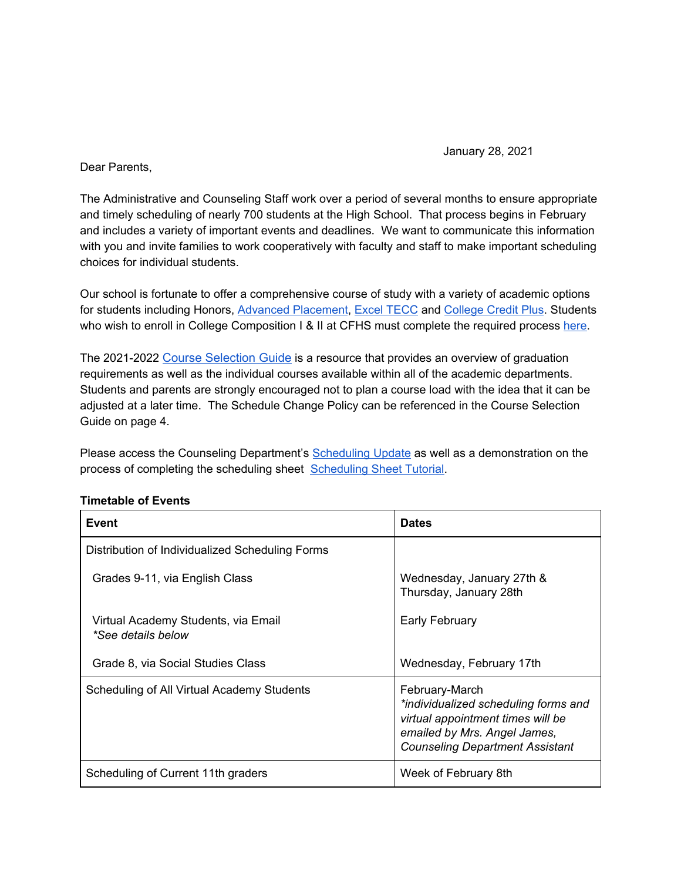January 28, 2021

Dear Parents,

The Administrative and Counseling Staff work over a period of several months to ensure appropriate and timely scheduling of nearly 700 students at the High School. That process begins in February and includes a variety of important events and deadlines. We want to communicate this information with you and invite families to work cooperatively with faculty and staff to make important scheduling choices for individual students.

Our school is fortunate to offer a comprehensive course of study with a variety of academic options for students including Honors, [Advanced Placement](https://apstudents.collegeboard.org/what-is-ap), [Excel TECC](https://www.mayfieldschools.org/exceltecc_home.aspx) and [College Credit Plus](http://education.ohio.gov/Topics/Ohio-Education-Options/College-Credit-Plus). Students who wish to enroll in College Composition I & II at CFHS must complete the required process [here.](https://docs.google.com/document/d/1bbKNgEZNamKFTxZYiesOJ5D8Fxgfo1W41Bf9WGiOOXQ/edit)

The 2021-2022 Course [Selection](https://www.chagrinschools.org/Downloads/Course%20Selection%20Guide2.pdf) Guide is a resource that provides an overview of graduation requirements as well as the individual courses available within all of the academic departments. Students and parents are strongly encouraged not to plan a course load with the idea that it can be adjusted at a later time. The Schedule Change Policy can be referenced in the Course Selection Guide on page 4.

Please access the Counseling Department's [Scheduling Update](https://docs.google.com/presentation/d/1E5Jzgr12kgXFHZeyEoVt-XtsK86KdgsZblXVm0656Uk/edit?usp=sharing) as well as a demonstration on the process of completing the scheduling sheet [Scheduling Sheet Tutorial.](https://drive.google.com/file/d/1-uYYZz1AIr40FsFsxsIs9_BSxgM1IDDm/view)

| Event                                                     | <b>Dates</b>                                                                                                                                                          |
|-----------------------------------------------------------|-----------------------------------------------------------------------------------------------------------------------------------------------------------------------|
| Distribution of Individualized Scheduling Forms           |                                                                                                                                                                       |
| Grades 9-11, via English Class                            | Wednesday, January 27th &<br>Thursday, January 28th                                                                                                                   |
| Virtual Academy Students, via Email<br>*See details below | Early February                                                                                                                                                        |
| Grade 8, via Social Studies Class                         | Wednesday, February 17th                                                                                                                                              |
| Scheduling of All Virtual Academy Students                | February-March<br>*individualized scheduling forms and<br>virtual appointment times will be<br>emailed by Mrs. Angel James,<br><b>Counseling Department Assistant</b> |
| Scheduling of Current 11th graders                        | Week of February 8th                                                                                                                                                  |

## **Timetable of Events**